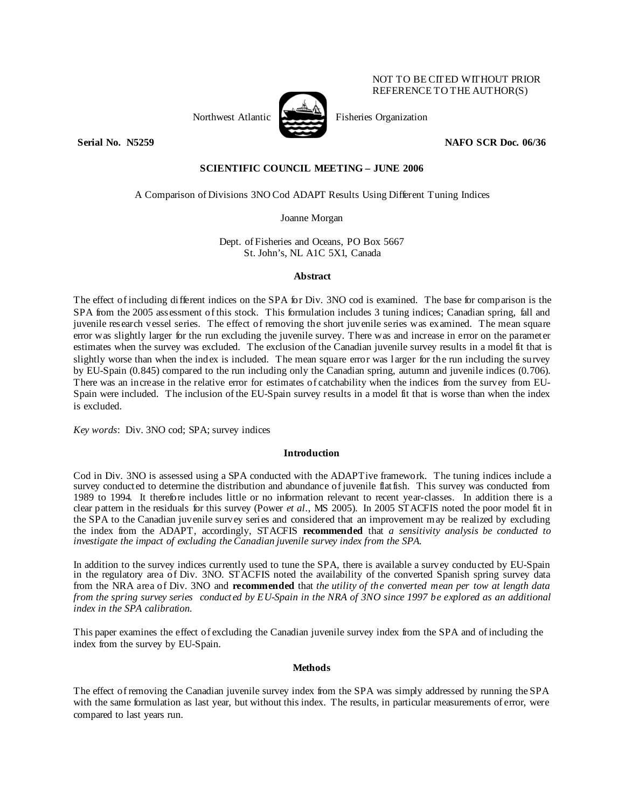

Northwest Atlantic Fisheries Organization

**Serial No. N5259 NAFO SCR Doc. 06/36** 

NOT TO BE CITED WITHOUT PRIOR REFERENCE TO THE AUTHOR(S)

# **SCIENTIFIC COUNCIL MEETING – JUNE 2006**

A Comparison of Divisions 3NO Cod ADAPT Results Using Different Tuning Indices

Joanne Morgan

Dept. of Fisheries and Oceans, PO Box 5667 St. John's, NL A1C 5X1, Canada

# **Abstract**

The effect of including different indices on the SPA for Div. 3NO cod is examined. The base for comparison is the SPA from the 2005 assessment of this stock. This formulation includes 3 tuning indices; Canadian spring, fall and juvenile research vessel series. The effect of removing the short juvenile series was examined. The mean square error was slightly larger for the run excluding the juvenile survey. There was and increase in error on the parameter estimates when the survey was excluded. The exclusion of the Canadian juvenile survey results in a model fit that is slightly worse than when the index is included. The mean square error was larger for the run including the survey by EU-Spain (0.845) compared to the run including only the Canadian spring, autumn and juvenile indices (0.706). There was an increase in the relative error for estimates of catchability when the indices from the survey from EU-Spain were included. The inclusion of the EU-Spain survey results in a model fit that is worse than when the index is excluded.

*Key words*: Div. 3NO cod; SPA; survey indices

### **Introduction**

Cod in Div. 3NO is assessed using a SPA conducted with the ADAPTive framework. The tuning indices include a survey conducted to determine the distribution and abundance of juvenile flatfish. This survey was conducted from 1989 to 1994. It therefore includes little or no information relevant to recent year-classes. In addition there is a clear pattern in the residuals for this survey (Power *et al*., MS 2005). In 2005 STACFIS noted the poor model fit in the SPA to the Canadian juvenile survey series and considered that an improvement may be realized by excluding the index from the ADAPT, accordingly, STACFIS **recommended** that *a sensitivity analysis be conducted to investigate the impact of excluding the Canadian juvenile survey index from the SPA.*

In addition to the survey indices currently used to tune the SPA, there is available a survey conducted by EU-Spain in the regulatory area of Div. 3NO. STACFIS noted the availability of the converted Spanish spring survey data from the NRA area of Div. 3NO and **recommended** that *the utility of the converted mean per tow at length data from the spring survey series conducted by EU-Spain in the NRA of 3NO since 1997 be explored as an additional index in the SPA calibration.* 

This paper examines the effect of excluding the Canadian juvenile survey index from the SPA and of including the index from the survey by EU-Spain.

# **Methods**

The effect of removing the Canadian juvenile survey index from the SPA was simply addressed by running the SPA with the same formulation as last year, but without this index. The results, in particular measurements of error, were compared to last years run.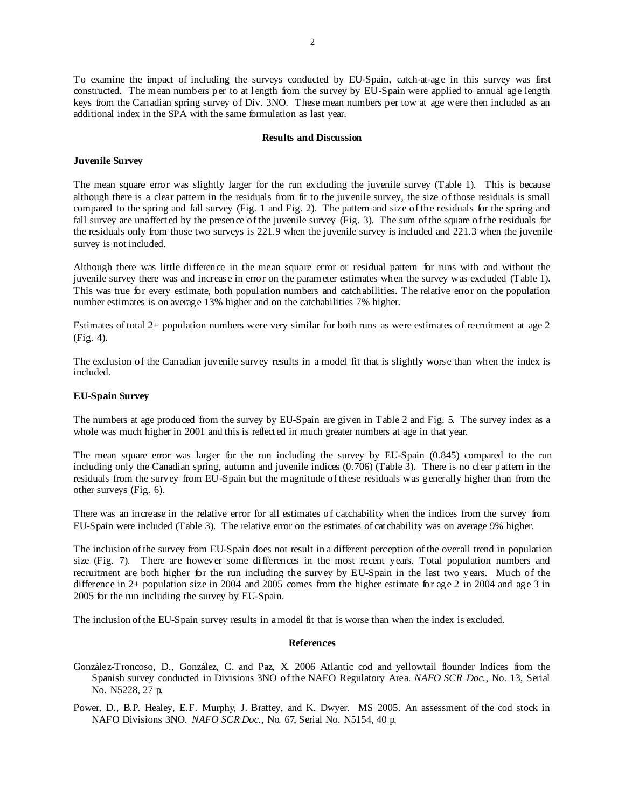To examine the impact of including the surveys conducted by EU-Spain, catch-at-age in this survey was first constructed. The mean numbers per to at length from the survey by EU-Spain were applied to annual age length keys from the Canadian spring survey of Div. 3NO. These mean numbers per tow at age were then included as an additional index in the SPA with the same formulation as last year.

#### **Results and Discussion**

#### **Juvenile Survey**

The mean square error was slightly larger for the run excluding the juvenile survey (Table 1). This is because although there is a clear pattern in the residuals from fit to the juvenile survey, the size of those residuals is small compared to the spring and fall survey (Fig. 1 and Fig. 2). The pattern and size of the residuals for the spring and fall survey are unaffected by the presence of the juvenile survey (Fig. 3). The sum of the square of the residuals for the residuals only from those two surveys is 221.9 when the juvenile survey is included and 221.3 when the juvenile survey is not included.

Although there was little difference in the mean square error or residual pattern for runs with and without the juvenile survey there was and increase in error on the parameter estimates when the survey was excluded (Table 1). This was true for every estimate, both population numbers and catchabilities. The relative error on the population number estimates is on average 13% higher and on the catchabilities 7% higher.

Estimates of total 2+ population numbers were very similar for both runs as were estimates of recruitment at age 2 (Fig. 4).

The exclusion of the Canadian juvenile survey results in a model fit that is slightly worse than when the index is included.

## **EU-Spain Survey**

The numbers at age produced from the survey by EU-Spain are given in Table 2 and Fig. 5. The survey index as a whole was much higher in 2001 and this is reflected in much greater numbers at age in that year.

The mean square error was larger for the run including the survey by EU-Spain (0.845) compared to the run including only the Canadian spring, autumn and juvenile indices (0.706) (Table 3). There is no clear pattern in the residuals from the survey from EU-Spain but the magnitude of these residuals was generally higher than from the other surveys (Fig. 6).

There was an increase in the relative error for all estimates of catchability when the indices from the survey from EU-Spain were included (Table 3). The relative error on the estimates of catchability was on average 9% higher.

The inclusion of the survey from EU-Spain does not result in a different perception of the overall trend in population size (Fig. 7). There are however some differences in the most recent years. Total population numbers and recruitment are both higher for the run including the survey by EU-Spain in the last two years. Much of the difference in 2+ population size in 2004 and 2005 comes from the higher estimate for age 2 in 2004 and age 3 in 2005 for the run including the survey by EU-Spain.

The inclusion of the EU-Spain survey results in a model fit that is worse than when the index is excluded.

### **References**

González-Troncoso, D., González, C. and Paz, X. 2006 Atlantic cod and yellowtail flounder Indices from the Spanish survey conducted in Divisions 3NO of the NAFO Regulatory Area. *NAFO SCR Doc*., No. 13, Serial No. N5228, 27 p.

Power, D., B.P. Healey, E.F. Murphy, J. Brattey, and K. Dwyer. MS 2005. An assessment of the cod stock in NAFO Divisions 3NO. *NAFO SCR Doc*., No. 67, Serial No. N5154, 40 p.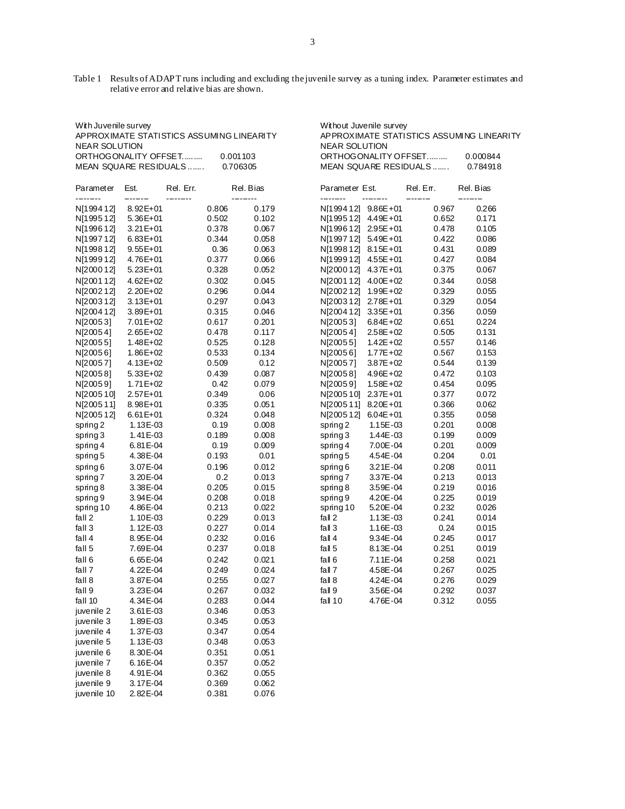Table 1 Results of ADAPT runs including and excluding the juvenile survey as a tuning index. Parameter estimates and relative error and relative bias are shown.

| AF FROAINIATE STATISTICS ASSOINTING EINEANT T<br><b>NEAR SOLUTION</b> |              |                |       |           | <b>NEAR SOLUTION</b>       |              | AF FROAINIATE STATISTICS ASSONITING EINEA |           |  |  |
|-----------------------------------------------------------------------|--------------|----------------|-------|-----------|----------------------------|--------------|-------------------------------------------|-----------|--|--|
| ORTHOGONALITY OFFSET<br>0.001103                                      |              |                |       |           | ORTHOGONALITY OFFSET       |              |                                           |           |  |  |
| MEAN SQUARE RESIDUALS<br>0.706305                                     |              |                |       |           | MEAN SQUARE RESIDUALS      |              |                                           |           |  |  |
| Est.<br>Parameter<br>--------                                         |              | Rel. Err.<br>. |       | Rel. Bias | Parameter Est.<br>-------- |              | Rel. Err.                                 | Rel. Bias |  |  |
| N[199412]                                                             | $8.92E + 01$ |                | 0.806 | 0.179     | N[199412] 9.86E+01         |              | 0.967                                     | 0.266     |  |  |
| N[199512]                                                             | $5.36E + 01$ |                | 0.502 | 0.102     | N[199512] 4.49E+01         |              | 0.652                                     | 0.171     |  |  |
| N[199612]                                                             | $3.21E + 01$ |                | 0.378 | 0.067     | N[1996 12] 2.95E + 01      |              | 0.478                                     | 0.105     |  |  |
| N[199712]                                                             | $6.83E + 01$ |                | 0.344 | 0.058     | N[199712] 5.49E+01         |              | 0.422                                     | 0.086     |  |  |
| N[199812]                                                             | $9.55E + 01$ |                | 0.36  | 0.063     | N[1998 12] 8.15E + 01      |              | 0.431                                     | 0.089     |  |  |
| N[199912]                                                             | 4.76E+01     |                | 0.377 | 0.066     | N[1999 12] 4.55E + 01      |              | 0.427                                     | 0.084     |  |  |
| N[200012]                                                             | $5.23E + 01$ |                | 0.328 | 0.052     | N[2000 12] 4.37E + 01      |              | 0.375                                     | 0.067     |  |  |
| N[200112]                                                             | $4.62E + 02$ |                | 0.302 | 0.045     | N[200112] 4.00E+02         |              | 0.344                                     | 0.058     |  |  |
| N[200212]                                                             | $2.20E + 02$ |                | 0.296 | 0.044     | N[200212]                  | 1.99E+02     | 0.329                                     | 0.055     |  |  |
| N[200312]                                                             | $3.13E + 01$ |                | 0.297 | 0.043     | N[200312] 2.78E+01         |              | 0.329                                     | 0.054     |  |  |
| N[200412]                                                             | $3.89E + 01$ |                | 0.315 | 0.046     | N[2004 12] 3.35E + 01      |              | 0.356                                     | 0.059     |  |  |
| N[20053]                                                              | $7.01E + 02$ |                | 0.617 | 0.201     | N[20053]                   | $6.84E + 02$ | 0.651                                     | 0.224     |  |  |
| N[20054]                                                              | $2.65E+02$   |                | 0.478 | 0.117     | N[20054]                   | $2.58E + 02$ | 0.505                                     | 0.131     |  |  |
| N[20055]                                                              | $1.48E + 02$ |                | 0.525 | 0.128     | N[20055]                   | $1.42E + 02$ | 0.557                                     | 0.146     |  |  |
| N[20056]                                                              | $1.86E + 02$ |                | 0.533 | 0.134     | N[20056]                   | $1.77E + 02$ | 0.567                                     | 0.153     |  |  |
| N[20057]                                                              | 4.13E+02     |                | 0.509 | 0.12      | N[20057]                   | $3.87E + 02$ | 0.544                                     | 0.139     |  |  |
| N[20058]                                                              | $5.33E+02$   |                | 0.439 | 0.087     | N[20058]                   | $4.96E + 02$ | 0.472                                     | 0.103     |  |  |
| N[20059]                                                              | $1.71E+02$   |                | 0.42  | 0.079     | N[20059]                   | $1.58E + 02$ | 0.454                                     | 0.095     |  |  |
| N[200510]                                                             | $2.57E+01$   |                | 0.349 | 0.06      | N[2005 10] 2.37E + 01      |              | 0.377                                     | 0.072     |  |  |
| N[200511]                                                             | 8.98E+01     |                | 0.335 | 0.051     | N[2005 11] 8.20E+01        |              | 0.366                                     | 0.062     |  |  |
| N[200512]                                                             | $6.61E + 01$ |                | 0.324 | 0.048     | N[2005 12] 6.04E + 01      |              | 0.355                                     | 0.058     |  |  |
| spring 2                                                              | 1.13E-03     |                | 0.19  | 0.008     | spring 2                   | 1.15E-03     | 0.201                                     | 0.008     |  |  |
| spring 3                                                              | 1.41 E-03    |                | 0.189 | 0.008     | spring 3                   | 1.44E-03     | 0.199                                     | 0.009     |  |  |
| spring 4                                                              | 6.81E-04     |                | 0.19  | 0.009     | spring 4                   | 7.00E-04     | 0.201                                     | 0.009     |  |  |
| spring 5                                                              | 4.38E-04     |                | 0.193 | 0.01      | spring 5                   | 4.54E-04     | 0.204                                     | 0.01      |  |  |
| spring $6$                                                            | 3.07E-04     |                | 0.196 | 0.012     | spring $6$                 | $3.21E - 04$ | 0.208                                     | 0.011     |  |  |
| spring 7                                                              | 3.20E-04     |                | 0.2   | 0.013     | spring 7                   | 3.37E-04     | 0.213                                     | 0.013     |  |  |
| spring 8                                                              | 3.38E-04     |                | 0.205 | 0.015     | spring 8                   | 3.59E-04     | 0.219                                     | 0.016     |  |  |
| spring 9                                                              | 3.94E-04     |                | 0.208 | 0.018     | spring 9                   | 4.20E-04     | 0.225                                     | 0.019     |  |  |
| spring 10                                                             | 4.86E-04     |                | 0.213 | 0.022     | spring 10                  | 5.20E-04     | 0.232                                     | 0.026     |  |  |
| fall 2                                                                | 1.10E-03     |                | 0.229 | 0.013     | fall $2$                   | $1.13E - 03$ | 0.241                                     | 0.014     |  |  |
| fall 3                                                                | 1.12E-03     |                | 0.227 | 0.014     | fall $3$                   | 1.16E-03     | 0.24                                      | 0.015     |  |  |
| fall 4                                                                | 8.95E-04     |                | 0.232 | 0.016     | fall $4$                   | $9.34E - 04$ | 0.245                                     | 0.017     |  |  |
| fall 5                                                                | 7.69E-04     |                | 0.237 | 0.018     | fall $5$                   | 8.13E-04     | 0.251                                     | 0.019     |  |  |
| fall 6                                                                | 6.65E-04     |                | 0.242 | 0.021     | fall 6                     | 7.11E-04     | 0.258                                     | 0.021     |  |  |
| fall 7                                                                | 4.22E-04     |                | 0.249 | 0.024     | fall $7$                   | 4.58E-04     | 0.267                                     | 0.025     |  |  |
| fall 8                                                                | 3.87E-04     |                | 0.255 | 0.027     | fall $8$                   | 4.24E-04     | 0.276                                     | 0.029     |  |  |
| fall 9                                                                | 3.23E-04     |                | 0.267 | 0.032     | fall $9$                   | 3.56E-04     | 0.292                                     | 0.037     |  |  |
| fall 10                                                               | 4.34E-04     |                | 0.283 | 0.044     | fall 10                    | 4.76E-04     | 0.312                                     | 0.055     |  |  |
| juvenile 2                                                            | $3.61E-03$   |                | 0.346 | 0.053     |                            |              |                                           |           |  |  |
| juvenile 3                                                            | 1.89E-03     |                | 0.345 | 0.053     |                            |              |                                           |           |  |  |
| juvenile 4                                                            | 1.37E-03     |                | 0.347 | 0.054     |                            |              |                                           |           |  |  |
| juvenile 5                                                            | 1.13E-03     |                | 0.348 | 0.053     |                            |              |                                           |           |  |  |
| juvenile 6                                                            | 8.30E-04     |                | 0.351 | 0.051     |                            |              |                                           |           |  |  |
| juvenile 7                                                            | 6.16E-04     |                | 0.357 | 0.052     |                            |              |                                           |           |  |  |
| juvenile 8                                                            | 4.91 E-04    |                | 0.362 | 0.055     |                            |              |                                           |           |  |  |
| juvenile 9                                                            | 3.17E-04     |                | 0.369 | 0.062     |                            |              |                                           |           |  |  |
| juvenile 10                                                           | 2.82E-04     |                | 0.381 | 0.076     |                            |              |                                           |           |  |  |
|                                                                       |              |                |       |           |                            |              |                                           |           |  |  |

| With Juvenile survey<br><b>NEAR SOLUTION</b> |                 | APPROXIMATE STATISTICS ASSUMING LINEARITY |                       |                            | Without Juvenile survey<br>APPROXIMATE STATISTICS ASSUMING LINEARITY<br><b>NEAR SOLUTION</b><br>0.000844 |           |           |  |  |  |  |
|----------------------------------------------|-----------------|-------------------------------------------|-----------------------|----------------------------|----------------------------------------------------------------------------------------------------------|-----------|-----------|--|--|--|--|
| ORTHOGONALITY OFFSET                         |                 |                                           | 0.001103              |                            | ORTHOGONALITY OFFSET<br>MEAN SQUARE RESIDUALS                                                            |           |           |  |  |  |  |
|                                              |                 | MEAN SQUARE RESIDUALS                     | 0.706305              |                            |                                                                                                          |           | 0.784918  |  |  |  |  |
| Parameter                                    | Est.<br>------- | Rel. Err.<br>--------                     | Rel. Bias<br>-------- | Parameter Est.<br>-------- | --------                                                                                                 | Rel. Err. | Rel. Bias |  |  |  |  |
| N[199412]                                    | $8.92E + 01$    | 0.806                                     | 0.179                 | N[1994 12] 9.86E + 01      |                                                                                                          | 0.967     | 0.266     |  |  |  |  |
| N[199512]                                    | $5.36E + 01$    | 0.502                                     | 0.102                 | N[199512] 4.49E+01         |                                                                                                          | 0.652     | 0.171     |  |  |  |  |
| N[199612]                                    | $3.21E + 01$    | 0.378                                     | 0.067                 | N[1996 12] 2.95E + 01      |                                                                                                          | 0.478     | 0.105     |  |  |  |  |
| N[199712]                                    | $6.83E + 01$    | 0.344                                     | 0.058                 | N[199712] 5.49E+01         |                                                                                                          | 0.422     | 0.086     |  |  |  |  |
| N[199812]                                    | $9.55E + 01$    | 0.36                                      | 0.063                 | N[1998 12] 8.15E + 01      |                                                                                                          | 0.431     | 0.089     |  |  |  |  |
| N[199912]                                    | $4.76E + 01$    | 0.377                                     | 0.066                 | N[199912] 4.55E+01         |                                                                                                          | 0.427     | 0.084     |  |  |  |  |
| N[200012]                                    | $5.23E + 01$    | 0.328                                     | 0.052                 | N[2000 12] 4.37E + 01      |                                                                                                          | 0.375     | 0.067     |  |  |  |  |
| N[200112]                                    | $4.62E + 02$    | 0.302                                     | 0.045                 | N[200112] 4.00E+02         |                                                                                                          | 0.344     | 0.058     |  |  |  |  |
| N[200212]                                    | $2.20E+02$      | 0.296                                     | 0.044                 | N[2002 12] 1.99E + 02      |                                                                                                          | 0.329     | 0.055     |  |  |  |  |
| N[200312]                                    | $3.13E + 01$    | 0.297                                     | 0.043                 | N[2003 12] 2.78E+01        |                                                                                                          | 0.329     | 0.054     |  |  |  |  |
| N[200412]                                    | $3.89E + 01$    | 0.315                                     | 0.046                 | N[2004 12] 3.35E + 01      |                                                                                                          | 0.356     | 0.059     |  |  |  |  |
| N[20053]                                     | $7.01E + 02$    | 0.617                                     | 0.201                 | N[20053]                   | $6.84E + 02$                                                                                             | 0.651     | 0.224     |  |  |  |  |
| N[20054]                                     | $2.65E+02$      | 0.478                                     | 0.117                 | N[20054]                   | $2.58E + 02$                                                                                             | 0.505     | 0.131     |  |  |  |  |
| N[20055]                                     | $1.48E + 02$    | 0.525                                     | 0.128                 | N[20055]                   | $1.42E + 02$                                                                                             | 0.557     | 0.146     |  |  |  |  |
| N[20056]                                     | $1.86E + 02$    | 0.533                                     | 0.134                 | N[20056]                   | $1.77E + 02$                                                                                             | 0.567     | 0.153     |  |  |  |  |
| N[20057]                                     | 4.13E+02        | 0.509                                     | 0.12                  | N[20057]                   | $3.87E + 02$                                                                                             | 0.544     | 0.139     |  |  |  |  |
| N[20058]                                     | $5.33E+02$      | 0.439                                     | 0.087                 | N[20058]                   | $4.96E + 02$                                                                                             | 0.472     | 0.103     |  |  |  |  |
| N[20059]                                     | $1.71E+02$      | 0.42                                      | 0.079                 | N[20059]                   | $1.58E + 02$                                                                                             | 0.454     | 0.095     |  |  |  |  |
| N[200510]                                    | $2.57E + 01$    | 0.349                                     | 0.06                  | N[2005 10] 2.37E+01        |                                                                                                          | 0.377     | 0.072     |  |  |  |  |
| N[200511]                                    | $8.98E + 01$    | 0.335                                     | 0.051                 | N[2005 11] 8.20E+01        |                                                                                                          | 0.366     | 0.062     |  |  |  |  |
| N[200512]                                    | $6.61E + 01$    | 0.324                                     | 0.048                 | N[200512]                  | $6.04E + 01$                                                                                             | 0.355     | 0.058     |  |  |  |  |
| spring 2                                     | 1.13E-03        | 0.19                                      | 0.008                 | spring 2                   | 1.15E-03                                                                                                 | 0.201     | 0.008     |  |  |  |  |
| spring 3                                     | 1.41 E-03       | 0.189                                     | 0.008                 | spring $3$                 | 1.44E-03                                                                                                 | 0.199     | 0.009     |  |  |  |  |
| spring 4                                     | $6.81E-04$      | 0.19                                      | 0.009                 | spring 4                   | 7.00E-04                                                                                                 | 0.201     | 0.009     |  |  |  |  |
| spring 5                                     | 4.38E-04        | 0.193                                     | 0.01                  | spring 5                   | 4.54E-04                                                                                                 | 0.204     | 0.01      |  |  |  |  |
| spring 6                                     | 3.07E-04        | 0.196                                     | 0.012                 | spring 6                   | 3.21E-04                                                                                                 | 0.208     | 0.011     |  |  |  |  |
| spring 7                                     | 3.20E-04        | 0.2                                       | 0.013                 | spring 7                   | 3.37E-04                                                                                                 | 0.213     | 0.013     |  |  |  |  |
| spring 8                                     | 3.38E-04        | 0.205                                     | 0.015                 | spring 8                   | 3.59E-04                                                                                                 | 0.219     | 0.016     |  |  |  |  |
| spring 9                                     | 3.94E-04        | 0.208                                     | 0.018                 | spring 9                   | 4.20E-04                                                                                                 | 0.225     | 0.019     |  |  |  |  |
| spring 10                                    | 4.86E-04        | 0.213                                     | 0.022                 | spring 10                  | 5.20E-04                                                                                                 | 0.232     | 0.026     |  |  |  |  |
| fall 2                                       | 1.10E-03        | 0.229                                     | 0.013                 | fall $2$                   | $1.13E - 03$                                                                                             | 0.241     | 0.014     |  |  |  |  |
| fall 3                                       | 1.12E-03        | 0.227                                     | 0.014                 | fall $3$                   | 1.16E-03                                                                                                 | 0.24      | 0.015     |  |  |  |  |
| fall 4                                       | 8.95E-04        | 0.232                                     | 0.016                 | fall $4$                   | 9.34E-04                                                                                                 | 0.245     | 0.017     |  |  |  |  |
| fall 5                                       | 7.69E-04        | 0.237                                     | 0.018                 | fall $5$                   | 8.13E-04                                                                                                 | 0.251     | 0.019     |  |  |  |  |
| fall 6                                       | 6.65E-04        | 0.242                                     | 0.021                 | fall $6$                   | 7.11E-04                                                                                                 | 0.258     | 0.021     |  |  |  |  |
| fall 7                                       | 4.22E-04        | 0.249                                     | 0.024                 | fall $7$                   | 4.58E-04                                                                                                 | 0.267     | 0.025     |  |  |  |  |
| fall 8                                       | 3.87E-04        | 0.255                                     | 0.027                 | fall $8$                   | 4.24E-04                                                                                                 | 0.276     | 0.029     |  |  |  |  |
| fall 9                                       | 3.23E-04        | 0.267                                     | 0.032                 | fall $9$                   | 3.56E-04                                                                                                 | 0.292     | 0.037     |  |  |  |  |
| fall 10                                      | 4.34E-04        | 0.283                                     | 0.044                 | fall $10$                  | 4.76E-04                                                                                                 | 0.312     | 0.055     |  |  |  |  |
| $\ldots$                                     | 2.015.02        | 0.24C                                     | 0.052                 |                            |                                                                                                          |           |           |  |  |  |  |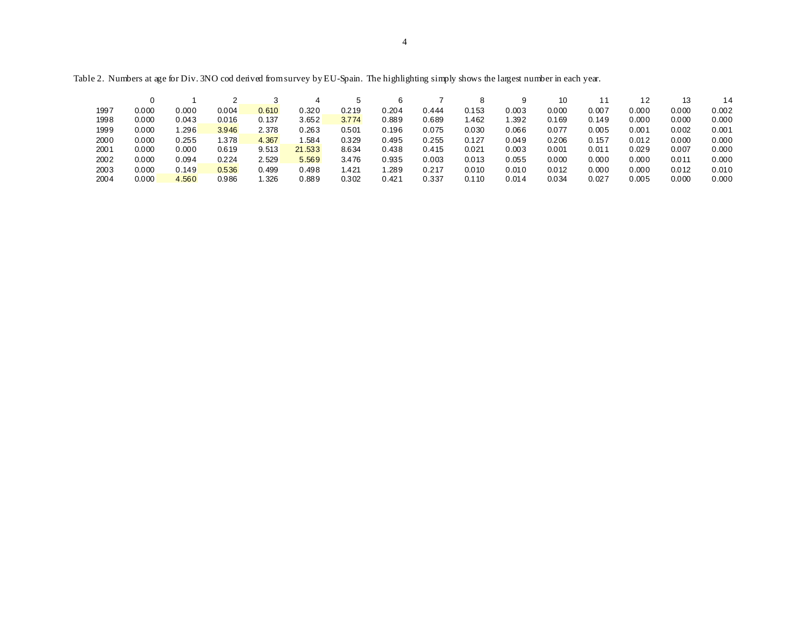|      |       |       |       |       | 4      |       |       |       |       |       | 10    |                |       | 13    |       |
|------|-------|-------|-------|-------|--------|-------|-------|-------|-------|-------|-------|----------------|-------|-------|-------|
| 1997 | 0.000 | 0.000 | 0.004 | 0.610 | 0.320  | 0.219 | 0.204 | 0.444 | 0.153 | 0.003 | 0.000 | 0.007          | 0.000 | 0.000 | 0.002 |
| 1998 | 0.000 | 0.043 | 0.016 | 0.137 | 3.652  | 3.774 | 0.889 | 0.689 | .462  | .392  | 0.169 | 0.149          | 0.000 | 0.000 | 0.000 |
| 1999 | 0.000 | .296  | 3.946 | 2.378 | 0.263  | 0.501 | 0.196 | 0.075 | 0.030 | 0.066 | 0.077 | 0.005          | 0.001 | 0.002 | 0.001 |
| 2000 | 0.000 | 0.255 | 1.378 | 4.367 | .584   | 0.329 | 0.495 | 0.255 | 0.127 | 0.049 | 0.206 | 0.157          | 0.012 | 0.000 | 0.000 |
| 2001 | 0.000 | 0.000 | 0.619 | 9.513 | 21.533 | 8.634 | 0.438 | 0.415 | 0.021 | 0.003 | 0.001 | $0.01^{\circ}$ | 0.029 | 0.007 | 0.000 |
| 2002 | 0.000 | 0.094 | 0.224 | 2.529 | 5.569  | 3.476 | 0.935 | 0.003 | 0.013 | 0.055 | 0.000 | 0.000          | 0.000 | 0.011 | 0.000 |
| 2003 | 0.000 | 0.149 | 0.536 | 0.499 | 0.498  | 1.421 | .289  | 0.217 | 0.010 | 0.010 | 0.012 | 0.000          | 0.000 | 0.012 | 0.010 |
| 2004 | 0.000 | 4.560 | 0.986 | .326  | 0.889  | 0.302 | 0.421 | 0.337 | 0.110 | 0.014 | 0.034 | 0.027          | 0.005 | 0.000 | 0.000 |

Table 2. Numbers at age for Div. 3NO cod derived from survey by EU-Spain. The highlighting simply shows the largest number in each year.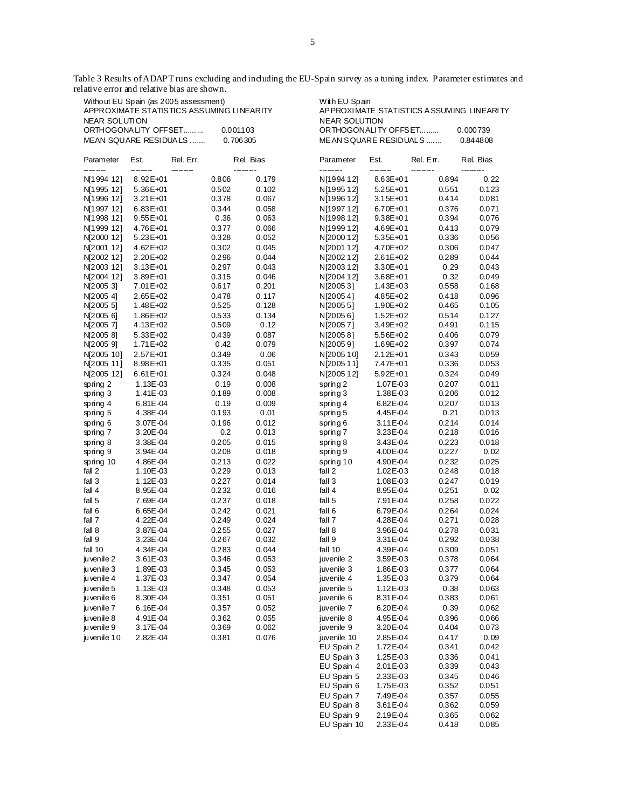Table 3 Results of ADAPT runs excluding and including the EU-Spain survey as a tuning index. Parameter estimates and relative error and relative bias are shown.

| Without EU Spain (as 2005 assessment)<br>APPROXIMATE STATISTICS ASSUMING LINEARITY<br>NEAR SOLUTION |                          |                      |                |                | With EU Spain<br>AP PROXIMATE STATISTICS ASSUMING LINEARITY<br><b>NEAR SOLUTION</b> |                          |                |                |  |  |  |
|-----------------------------------------------------------------------------------------------------|--------------------------|----------------------|----------------|----------------|-------------------------------------------------------------------------------------|--------------------------|----------------|----------------|--|--|--|
| ORTHOGONALITY OFFSET<br>0.001103<br>MEAN SQUARE RESIDUALS<br>0.706305                               |                          |                      |                |                | ORTHOGONALITY OFFSET<br>ME AN SQUARE RESIDUALS                                      | 0.000739<br>0.844808     |                |                |  |  |  |
| Parameter<br>------                                                                                 | Est.<br>------           | Rel. Err.<br>------- |                | Rel. Bias      | Parameter<br>-------                                                                | Est.<br>------           | Rel. En.       | Rel. Bias      |  |  |  |
| N[1994 12]                                                                                          | 8.92E+01                 |                      | 0.806          | 0.179          | N[1994 12]                                                                          | 8.63E+01                 | 0.894          | 0.22           |  |  |  |
| N[1995 12]                                                                                          | 5.36E+01                 |                      | 0.502          | 0.102          | N[1995 12]                                                                          | 5.25E+01                 | 0.551          | 0.123          |  |  |  |
| N[1996 12]                                                                                          | 3.21 E+01                |                      | 0.378          | 0.067          | N[1996 12]                                                                          | $3.15E + 01$             | 0.414          | 0.081          |  |  |  |
| N[1997 12]                                                                                          | $6.83E + 01$             |                      | 0.344          | 0.058          | N[1997 12]                                                                          | 6.70E+01                 | 0.376          | 0.071          |  |  |  |
| N[1998 12]                                                                                          | $9.55E + 01$             |                      | 0.36           | 0.063          | N[1998 12]                                                                          | 9.38E+01                 | 0.394          | 0.076          |  |  |  |
| N[1999 12]                                                                                          | 4.76E+01                 |                      | 0.377          | 0.066          | N[1999 12]                                                                          | 4.69E+01                 | 0.413          | 0.079          |  |  |  |
| N[2000 12]                                                                                          | $5.23E + 01$             |                      | 0.328          | 0.052          | N[2000 12]                                                                          | 5.35E+01                 | 0.336          | 0.056          |  |  |  |
| N[2001 12]                                                                                          | $4.62E + 02$             |                      | 0.302          | 0.045          | N[2001 12]                                                                          | 4.70E+02                 | 0.306          | 0.047          |  |  |  |
| N[2002 12]<br>N[2003 12]                                                                            | 2.20E+02<br>$3.13E + 01$ |                      | 0.296<br>0.297 | 0.044<br>0.043 | N[200212]<br>N[2003 12]                                                             | $2.61E + 02$<br>3.30E+01 | 0.289<br>0.29  | 0.044<br>0.043 |  |  |  |
| N[2004 12]                                                                                          | 3.89E+01                 |                      | 0.315          | 0.046          | N[2004 12]                                                                          | 3.68E+01                 | 0.32           | 0.049          |  |  |  |
| N[2005 3]                                                                                           | 7.01 E+02                |                      | 0.617          | 0.201          | N[20053]                                                                            | $1.43E + 03$             | 0.558          | 0.168          |  |  |  |
| N[2005 4]                                                                                           | 2.65 E+02                |                      | 0.478          | 0.117          | N[20054]                                                                            | 4.85E+02                 | 0.418          | 0.096          |  |  |  |
| N[2005 5]                                                                                           | 1.48 E+02                |                      | 0.525          | 0.128          | N[2005 5]                                                                           | 1.90E+02                 | 0.465          | 0.105          |  |  |  |
| N[2005 6]                                                                                           | 1.86E+02                 |                      | 0.533          | 0.134          | N[20056]                                                                            | 1.52E+02                 | 0.514          | 0.127          |  |  |  |
| N[2005 7]                                                                                           | 4.13E+02                 |                      | 0.509          | 0.12           | N[20057]                                                                            | 3.49E+02                 | 0.491          | 0.115          |  |  |  |
| N[2005 8]                                                                                           | 5.33E+02                 |                      | 0.439          | 0.087          | N[20058]                                                                            | 5.56E+02                 | 0.406          | 0.079          |  |  |  |
| N[2005 9]                                                                                           | $1.71E + 02$<br>2.57E+01 |                      | 0.42           | 0.079          | N[20059]                                                                            | 1.69E+02                 | 0.397          | 0.074          |  |  |  |
| N[2005 10]<br>N[2005 11]                                                                            | 8.98E+01                 |                      | 0.349<br>0.335 | 0.06<br>0.051  | N[2005 10]<br>N[2005 11]                                                            | $2.12E + 01$<br>7.47E+01 | 0.343<br>0.336 | 0.059<br>0.053 |  |  |  |
| N[2005 12]                                                                                          | $6.61E + 01$             |                      | 0.324          | 0.048          | N[2005 12]                                                                          | $5.92E + 01$             | 0.324          | 0.049          |  |  |  |
| spring 2                                                                                            | 1.13E-03                 |                      | 0.19           | 0.008          | spring 2                                                                            | 1.07E-03                 | 0.207          | 0.011          |  |  |  |
| spring 3                                                                                            | 1.41E-03                 |                      | 0.189          | 0.008          | spring 3                                                                            | 1.38E-03                 | 0.206          | 0.012          |  |  |  |
| spring $4$                                                                                          | 6.81E-04                 |                      | 0.19           | 0.009          | spring 4                                                                            | 6.82E-04                 | 0.207          | 0.013          |  |  |  |
| spring 5                                                                                            | 4.38E-04                 |                      | 0.193          | 0.01           | spring 5                                                                            | 4.45 E-04                | 0.21           | 0.013          |  |  |  |
| spring 6                                                                                            | 3.07E-04                 |                      | 0.196          | 0.012          | spring 6                                                                            | 3.11 E-04                | 0.214          | 0.014          |  |  |  |
| spring 7                                                                                            | 3.20E-04                 |                      | 0.2            | 0.013          | spring 7                                                                            | 3.23E-04                 | 0.218          | 0.016          |  |  |  |
| spring $8$<br>spring 9                                                                              | 3.38E-04<br>3.94E-04     |                      | 0.205<br>0.208 | 0.015<br>0.018 | spring 8<br>spring 9                                                                | 3.43E-04<br>4.00E-04     | 0.223<br>0.227 | 0.018<br>0.02  |  |  |  |
| spring 10                                                                                           | 4.86E-04                 |                      | 0.213          | 0.022          | spring 10                                                                           | 4.90E-04                 | 0.232          | 0.025          |  |  |  |
| fall 2                                                                                              | 1.10E-03                 |                      | 0.229          | 0.013          | fall 2                                                                              | 1.02E-03                 | 0.248          | 0.018          |  |  |  |
| fall 3                                                                                              | 1.12E-03                 |                      | 0.227          | 0.014          | fall 3                                                                              | 1.08E-03                 | 0.247          | 0.019          |  |  |  |
| fall 4                                                                                              | 8.95E-04                 |                      | 0.232          | 0.016          | fall 4                                                                              | 8.95E-04                 | 0.251          | 0.02           |  |  |  |
| fall 5                                                                                              | 7.69E-04                 |                      | 0.237          | 0.018          | fall 5                                                                              | 7.91 E-04                | 0.258          | 0.022          |  |  |  |
| fall 6                                                                                              | 6.65E-04                 |                      | 0.242          | 0.021          | fall 6                                                                              | 6.79E-04                 | 0.264          | 0.024          |  |  |  |
| fall $7$<br>fall 8                                                                                  | 4.22E-04<br>3.87E-04     |                      | 0.249<br>0.255 | 0.024<br>0.027 | fall 7<br>fall 8                                                                    | 4.28E-04<br>3.96E-04     | 0.271<br>0.278 | 0.028<br>0.031 |  |  |  |
| fall $9$                                                                                            | 3.23E-04                 |                      | 0.267          | 0.032          | fall 9                                                                              | 3.31 E-04                | 0.292          | 0.038          |  |  |  |
| fall 10                                                                                             | 4.34E-04                 |                      | 0.283          | 0.044          | fall 10                                                                             | 4.39E-04                 | 0.309          | 0.051          |  |  |  |
| juvenile 2                                                                                          | 3.61E-03                 |                      | 0.346          | 0.053          | juvenile 2                                                                          | 3.59E-03                 | 0.378          | 0.064          |  |  |  |
| juvenile 3                                                                                          | 1.89E-03                 |                      | 0.345          | 0.053          | juvenile 3                                                                          | 1.86E-03                 | 0.377          | 0.064          |  |  |  |
| juvenile 4                                                                                          | 1.37E-03                 |                      | 0.347          | 0.054          | juvenile 4                                                                          | 1.35 E-03                | 0.379          | 0.064          |  |  |  |
| ju ven il e 5                                                                                       | 1.13E-03                 |                      | 0.348          | 0.053          | juvenile 5                                                                          | 1.12E-03                 | 0.38           | 0.063          |  |  |  |
| ju ven il e 6                                                                                       | 8.30E-04                 |                      | 0.351          | 0.051          | juvenile 6                                                                          | 8.31 E-04                | 0.383          | 0.061          |  |  |  |
| juvenile 7                                                                                          | 6.16E-04                 |                      | 0.357          | 0.052          | juvenile 7                                                                          | 6.20E-04                 | 0.39           | 0.062          |  |  |  |
| ju ven il e 8<br>ju ven il e 9                                                                      | 4.91E-04<br>3.17E-04     |                      | 0.362<br>0.369 | 0.055<br>0.062 | juvenile 8<br>juvenile 9                                                            | 4.95E-04<br>3.20E-04     | 0.396<br>0.404 | 0.066<br>0.073 |  |  |  |
| juvenile 10                                                                                         | 2.82E-04                 |                      | 0.381          | 0.076          | juvenile 10                                                                         | 2.85E-04                 | 0.417          | 0.09           |  |  |  |
|                                                                                                     |                          |                      |                |                | EU Spain 2                                                                          | 1.72E-04                 | 0.341          | 0.042          |  |  |  |
|                                                                                                     |                          |                      |                |                | EU Spain 3                                                                          | 1.25E-03                 | 0.336          | 0.041          |  |  |  |
|                                                                                                     |                          |                      |                |                | EU Spain 4                                                                          | 2.01E-03                 | 0.339          | 0.043          |  |  |  |
|                                                                                                     |                          |                      |                |                | EU Spain 5                                                                          | 2.33E-03                 | 0.345          | 0.046          |  |  |  |

EU Spain 5 2.33 E-03 0.345 0.046<br>EU Spain 6 1.75 E-03 0.352 0.051

EU Spain 7 7.49E-04 0.357 0.055

EU Spain 9 2.19E-04 0.365 0.062

EU Spain 6

EU Spain 8

EU Spain 10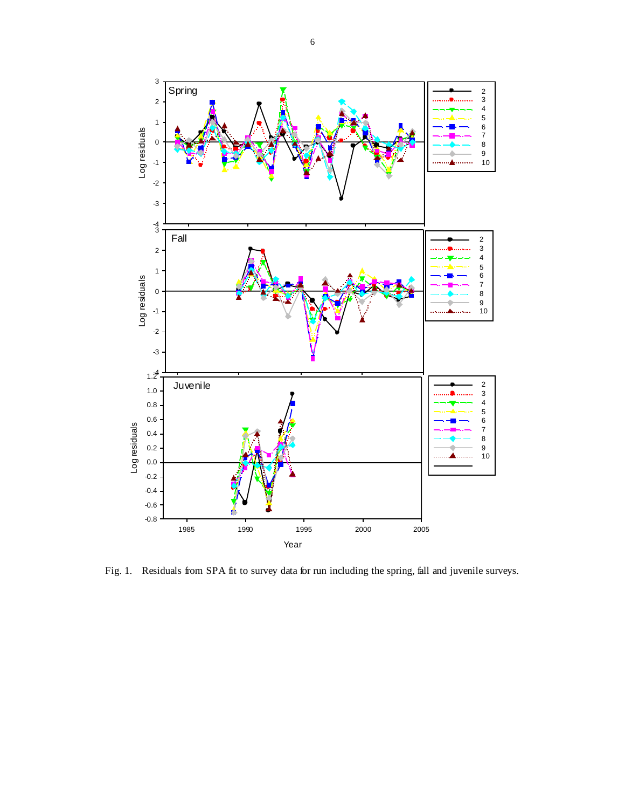

Fig. 1. Residuals from SPA fit to survey data for run including the spring, fall and juvenile surveys.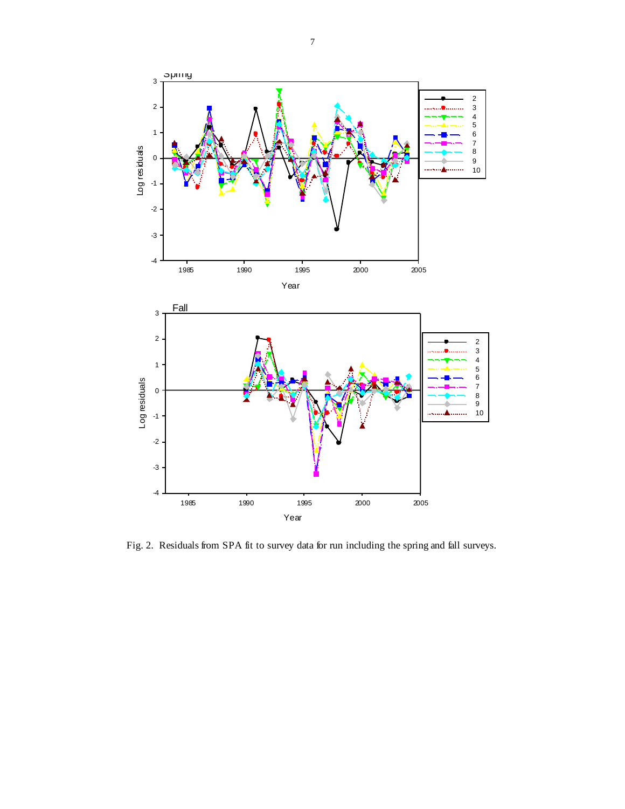

Fig. 2. Residuals from SPA fit to survey data for run including the spring and fall surveys.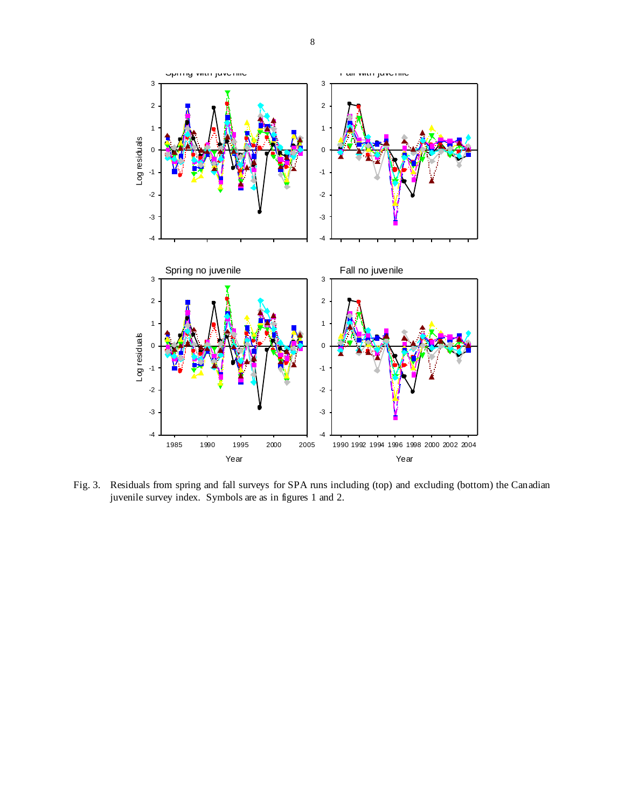

Fig. 3. Residuals from spring and fall surveys for SPA runs including (top) and excluding (bottom) the Canadian juvenile survey index. Symbols are as in figures 1 and 2.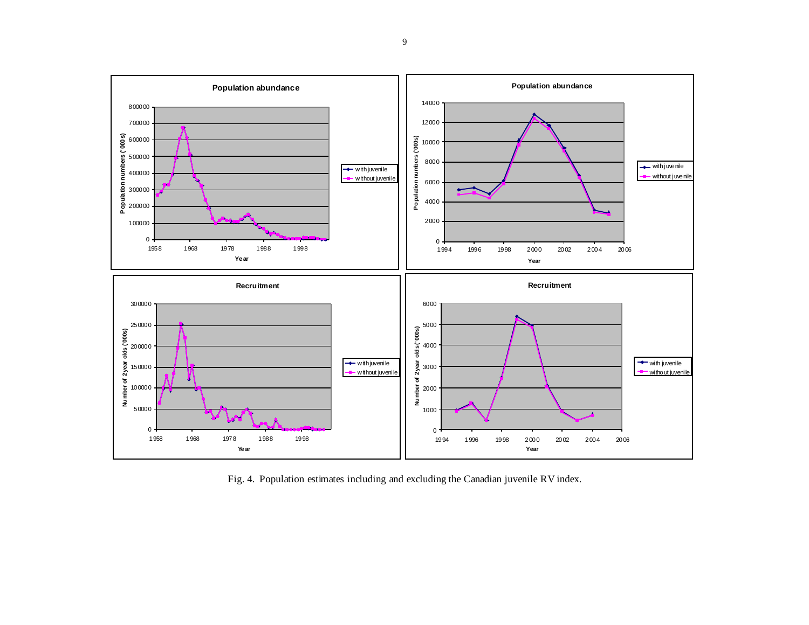

Fig. 4. Population estimates including and excluding the Canadian juvenile RV index.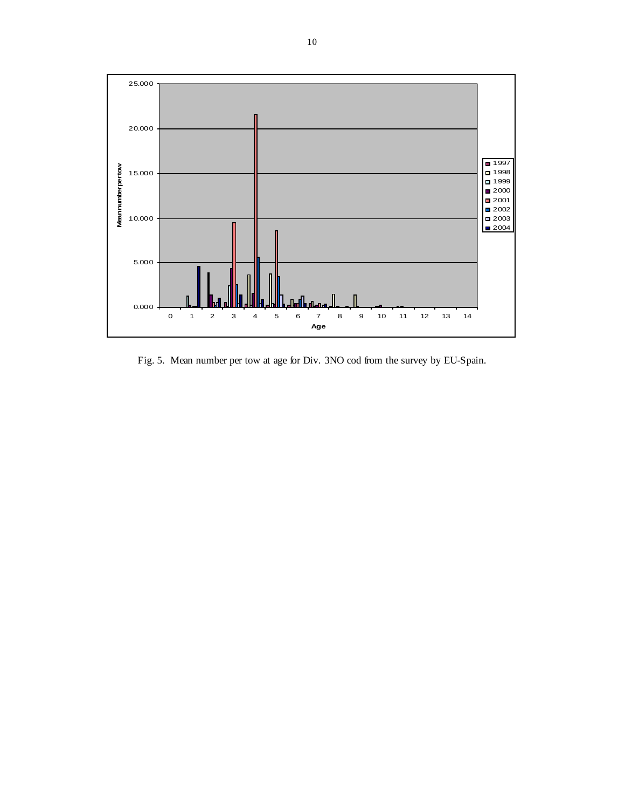

Fig. 5. Mean number per tow at age for Div. 3NO cod from the survey by EU-Spain.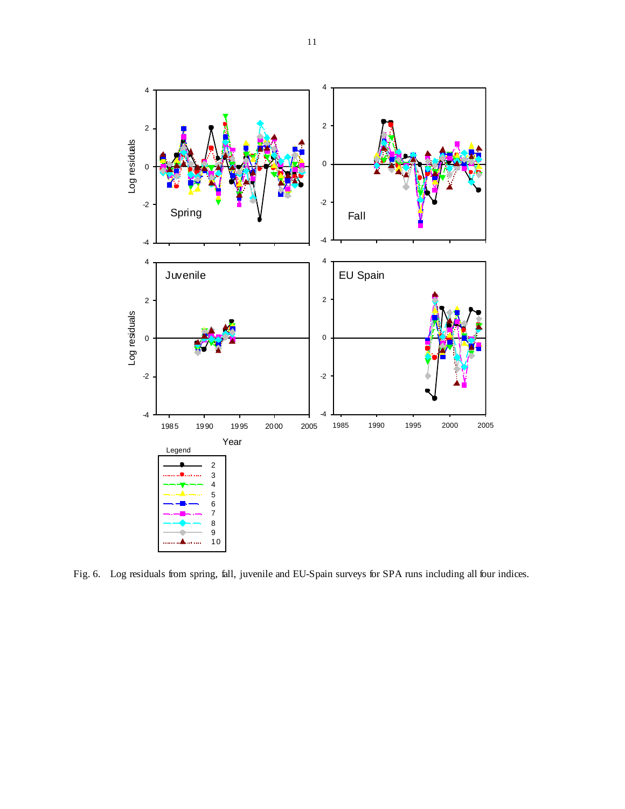

Fig. 6. Log residuals from spring, fall, juvenile and EU-Spain surveys for SPA runs including all four indices.